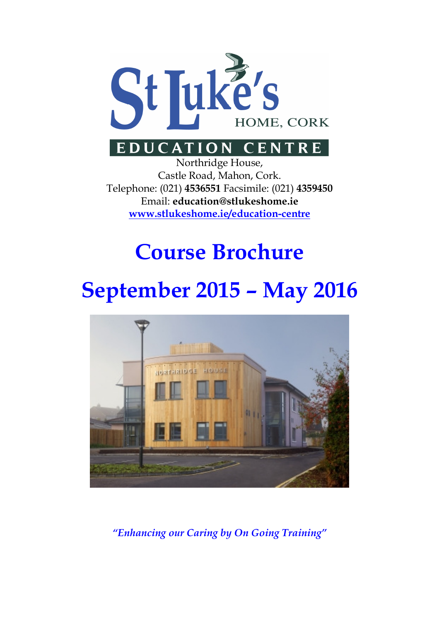

# EDUCATION CENTRE

Northridge House, Castle Road, Mahon, Cork. Telephone: (021) 4536551 Facsimile: (021) 4359450 Email: education@stlukeshome.ie www.stlukeshome.ie/education-centre

# Course Brochure

# September 2015 – May 2016



"Enhancing our Caring by On Going Training"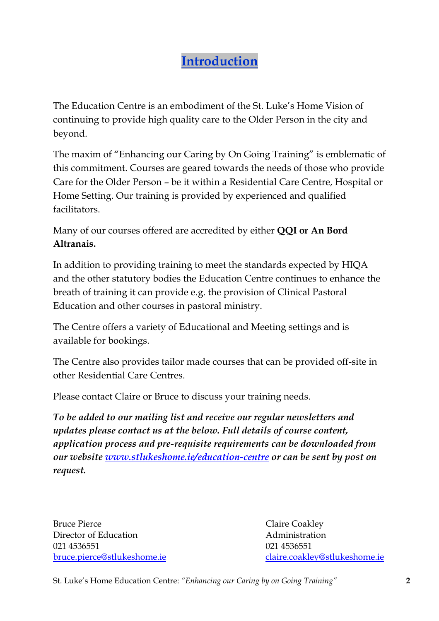# Introduction

The Education Centre is an embodiment of the St. Luke's Home Vision of continuing to provide high quality care to the Older Person in the city and beyond.

The maxim of "Enhancing our Caring by On Going Training" is emblematic of this commitment. Courses are geared towards the needs of those who provide Care for the Older Person – be it within a Residential Care Centre, Hospital or Home Setting. Our training is provided by experienced and qualified facilitators.

Many of our courses offered are accredited by either QQI or An Bord Altranais.

In addition to providing training to meet the standards expected by HIQA and the other statutory bodies the Education Centre continues to enhance the breath of training it can provide e.g. the provision of Clinical Pastoral Education and other courses in pastoral ministry.

The Centre offers a variety of Educational and Meeting settings and is available for bookings.

The Centre also provides tailor made courses that can be provided off-site in other Residential Care Centres.

Please contact Claire or Bruce to discuss your training needs.

To be added to our mailing list and receive our regular newsletters and updates please contact us at the below. Full details of course content, application process and pre-requisite requirements can be downloaded from our website www.stlukeshome.ie/education-centre or can be sent by post on request.

Bruce Pierce Claire Coakley Director of Education **Administration** 021 4536551 021 4536551

bruce.pierce@stlukeshome.ie claire.coakley@stlukeshome.ie

St. Luke's Home Education Centre: "Enhancing our Caring by on Going Training" 2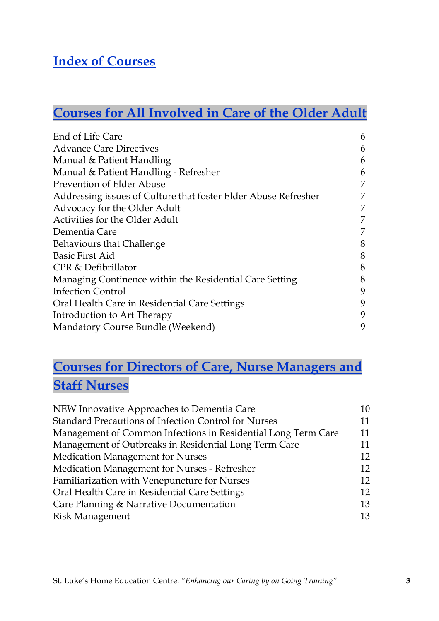## Index of Courses

# Courses for All Involved in Care of the Older Adult

| End of Life Care                                               | 6 |
|----------------------------------------------------------------|---|
| <b>Advance Care Directives</b>                                 | 6 |
| Manual & Patient Handling                                      | 6 |
| Manual & Patient Handling - Refresher                          | 6 |
| Prevention of Elder Abuse                                      | 7 |
| Addressing issues of Culture that foster Elder Abuse Refresher | 7 |
| Advocacy for the Older Adult                                   | 7 |
| Activities for the Older Adult                                 | 7 |
| Dementia Care                                                  | 7 |
| Behaviours that Challenge                                      | 8 |
| <b>Basic First Aid</b>                                         | 8 |
| CPR & Defibrillator                                            | 8 |
| Managing Continence within the Residential Care Setting        | 8 |
| Infection Control                                              | 9 |
| Oral Health Care in Residential Care Settings                  | 9 |
| Introduction to Art Therapy                                    | 9 |
| Mandatory Course Bundle (Weekend)                              | 9 |

# Courses for Directors of Care, Nurse Managers and **Staff Nurses**

| NEW Innovative Approaches to Dementia Care                    | 10 |
|---------------------------------------------------------------|----|
| Standard Precautions of Infection Control for Nurses          | 11 |
| Management of Common Infections in Residential Long Term Care | 11 |
| Management of Outbreaks in Residential Long Term Care         | 11 |
| <b>Medication Management for Nurses</b>                       | 12 |
| Medication Management for Nurses - Refresher                  | 12 |
| Familiarization with Venepuncture for Nurses                  | 12 |
| Oral Health Care in Residential Care Settings                 | 12 |
| Care Planning & Narrative Documentation                       | 13 |
| <b>Risk Management</b>                                        | 13 |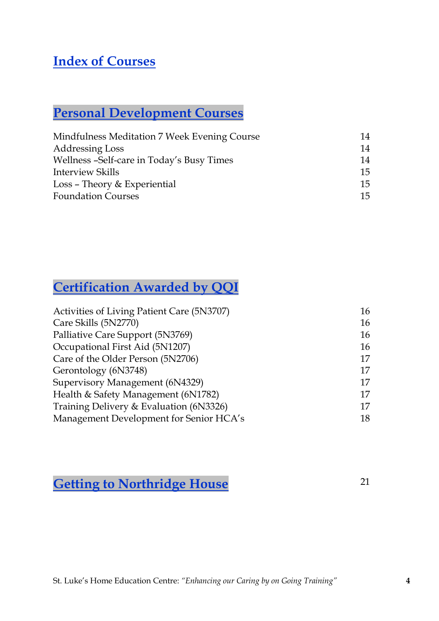# Index of Courses

# Personal Development Courses

| Mindfulness Meditation 7 Week Evening Course | 14 |
|----------------------------------------------|----|
| <b>Addressing Loss</b>                       | 14 |
| Wellness -Self-care in Today's Busy Times    | 14 |
| Interview Skills                             | 15 |
| Loss - Theory & Experiential                 | 15 |
| <b>Foundation Courses</b>                    | 15 |

# Certification Awarded by QQI

| 16 |
|----|
| 16 |
| 16 |
| 16 |
| 17 |
| 17 |
| 17 |
| 17 |
| 17 |
| 18 |
|    |

# Getting to Northridge House 21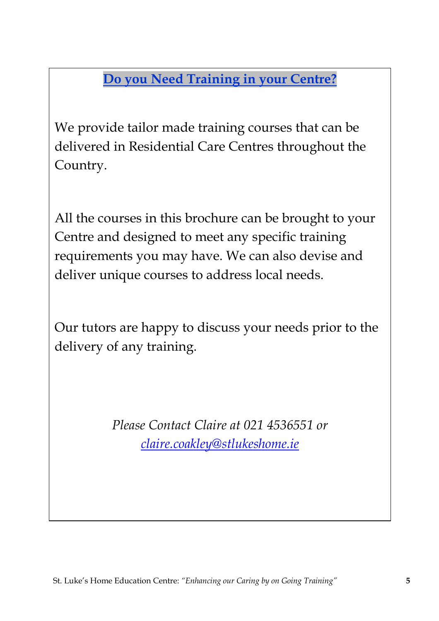Do you Need Training in your Centre?

We provide tailor made training courses that can be delivered in Residential Care Centres throughout the Country.

All the courses in this brochure can be brought to your Centre and designed to meet any specific training requirements you may have. We can also devise and deliver unique courses to address local needs.

Our tutors are happy to discuss your needs prior to the delivery of any training.

> Please Contact Claire at 021 4536551 or claire.coakley@stlukeshome.ie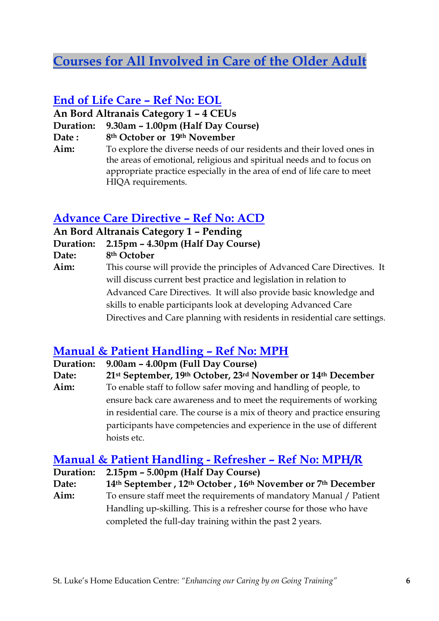# Courses for All Involved in Care of the Older Adult

#### End of Life Care – Ref No: EOL

An Bord Altranais Category 1 – 4 CEUs

Duration: 9.30am – 1.00pm (Half Day Course)

Date : 8<sup>th</sup> October or 19<sup>th</sup> November

Aim: To explore the diverse needs of our residents and their loved ones in the areas of emotional, religious and spiritual needs and to focus on appropriate practice especially in the area of end of life care to meet HIQA requirements.

#### Advance Care Directive – Ref No: ACD

An Bord Altranais Category 1 – Pending

Duration: 2.15pm – 4.30pm (Half Day Course)

Date: 8<sup>th</sup> October

Aim: This course will provide the principles of Advanced Care Directives. It will discuss current best practice and legislation in relation to Advanced Care Directives. It will also provide basic knowledge and skills to enable participants look at developing Advanced Care Directives and Care planning with residents in residential care settings.

#### Manual & Patient Handling – Ref No: MPH

Duration: 9.00am – 4.00pm (Full Day Course)

Date: 21st September, 19th October, 23rd November or 14th December Aim: To enable staff to follow safer moving and handling of people, to ensure back care awareness and to meet the requirements of working in residential care. The course is a mix of theory and practice ensuring participants have competencies and experience in the use of different hoists etc.

#### Manual & Patient Handling - Refresher – Ref No: MPH/R

Duration: 2.15pm – 5.00pm (Half Day Course)

Date: 14th September , 12th October , 16th November or 7th December Aim: To ensure staff meet the requirements of mandatory Manual / Patient

Handling up-skilling. This is a refresher course for those who have completed the full-day training within the past 2 years.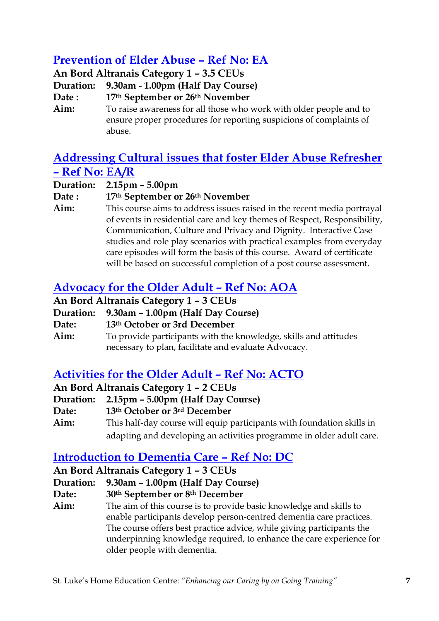## Prevention of Elder Abuse – Ref No: EA

An Bord Altranais Category 1 – 3.5 CEUs Duration: 9.30am - 1.00pm (Half Day Course) Date : 17th September or 26th November Aim: To raise awareness for all those who work with older people and to ensure proper procedures for reporting suspicions of complaints of abuse.

#### Addressing Cultural issues that foster Elder Abuse Refresher – Ref No: EA/R

Duration: 2.15pm – 5.00pm

Date : 17th September or 26th November

Aim: This course aims to address issues raised in the recent media portrayal of events in residential care and key themes of Respect, Responsibility, Communication, Culture and Privacy and Dignity. Interactive Case studies and role play scenarios with practical examples from everyday care episodes will form the basis of this course. Award of certificate will be based on successful completion of a post course assessment.

### Advocacy for the Older Adult – Ref No: AOA

An Bord Altranais Category 1 – 3 CEUs

- Duration: 9.30am 1.00pm (Half Day Course)
- Date: 13th October or 3rd December

Aim: To provide participants with the knowledge, skills and attitudes necessary to plan, facilitate and evaluate Advocacy.

#### Activities for the Older Adult – Ref No: ACTO

An Bord Altranais Category 1 – 2 CEUs

- Duration: 2.15pm 5.00pm (Half Day Course)
- Date: 13th October or 3rd December
- Aim: This half-day course will equip participants with foundation skills in adapting and developing an activities programme in older adult care.

#### Introduction to Dementia Care – Ref No: DC

#### An Bord Altranais Category 1 – 3 CEUs

Duration: 9.30am – 1.00pm (Half Day Course)

Date: 30th September or 8th December

Aim: The aim of this course is to provide basic knowledge and skills to enable participants develop person-centred dementia care practices. The course offers best practice advice, while giving participants the underpinning knowledge required, to enhance the care experience for older people with dementia.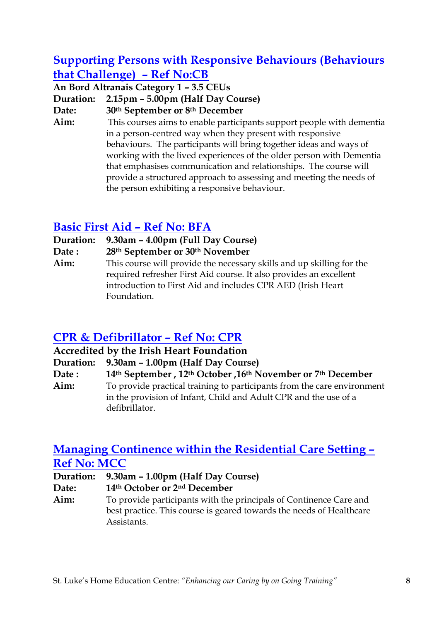#### Supporting Persons with Responsive Behaviours (Behaviours that Challenge) – Ref No:CB

An Bord Altranais Category 1 – 3.5 CEUs

Duration: 2.15pm – 5.00pm (Half Day Course)

Date: 30th September or 8th December

Aim: This courses aims to enable participants support people with dementia in a person-centred way when they present with responsive behaviours. The participants will bring together ideas and ways of working with the lived experiences of the older person with Dementia that emphasises communication and relationships. The course will provide a structured approach to assessing and meeting the needs of the person exhibiting a responsive behaviour.

#### Basic First Aid – Ref No: BFA

Duration: 9.30am – 4.00pm (Full Day Course)

Date : 28<sup>th</sup> September or 30<sup>th</sup> November

Aim: This course will provide the necessary skills and up skilling for the required refresher First Aid course. It also provides an excellent introduction to First Aid and includes CPR AED (Irish Heart Foundation.

#### CPR & Defibrillator – Ref No: CPR

Accredited by the Irish Heart Foundation

Duration: 9.30am – 1.00pm (Half Day Course)

Date : 14th September, 12th October, 16th November or 7th December

Aim: To provide practical training to participants from the care environment in the provision of Infant, Child and Adult CPR and the use of a defibrillator.

#### Managing Continence within the Residential Care Setting – Ref No: MCC

Duration: 9.30am – 1.00pm (Half Day Course)

Date: 14th October or 2<sup>nd</sup> December

Aim: To provide participants with the principals of Continence Care and best practice. This course is geared towards the needs of Healthcare **Assistants**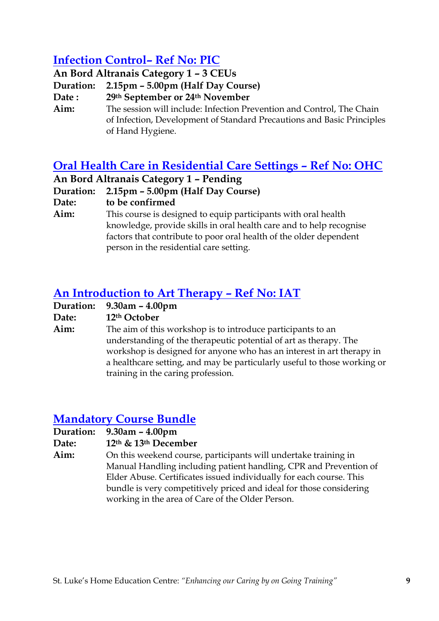#### Infection Control– Ref No: PIC

An Bord Altranais Category 1 – 3 CEUs

Duration: 2.15pm – 5.00pm (Half Day Course)

Date : 29th September or 24th November

Aim: The session will include: Infection Prevention and Control, The Chain of Infection, Development of Standard Precautions and Basic Principles of Hand Hygiene.

#### Oral Health Care in Residential Care Settings – Ref No: OHC

An Bord Altranais Category 1 – Pending

Duration: 2.15pm – 5.00pm (Half Day Course)

Date: to be confirmed

Aim: This course is designed to equip participants with oral health knowledge, provide skills in oral health care and to help recognise factors that contribute to poor oral health of the older dependent person in the residential care setting.

#### An Introduction to Art Therapy – Ref No: IAT

| <b>Duration:</b> | $9.30$ am – $4.00$ pm                                                    |
|------------------|--------------------------------------------------------------------------|
| Date:            | 12 <sup>th</sup> October                                                 |
| Aim:             | The aim of this workshop is to introduce participants to an              |
|                  | understanding of the therapeutic potential of art as therapy. The        |
|                  | workshop is designed for anyone who has an interest in art therapy in    |
|                  | a healthcare setting, and may be particularly useful to those working or |
|                  | training in the caring profession.                                       |

#### Mandatory Course Bundle

Duration: 9.30am – 4.00pm

Date: 12th & 13th December

Aim: On this weekend course, participants will undertake training in Manual Handling including patient handling, CPR and Prevention of Elder Abuse. Certificates issued individually for each course. This bundle is very competitively priced and ideal for those considering working in the area of Care of the Older Person.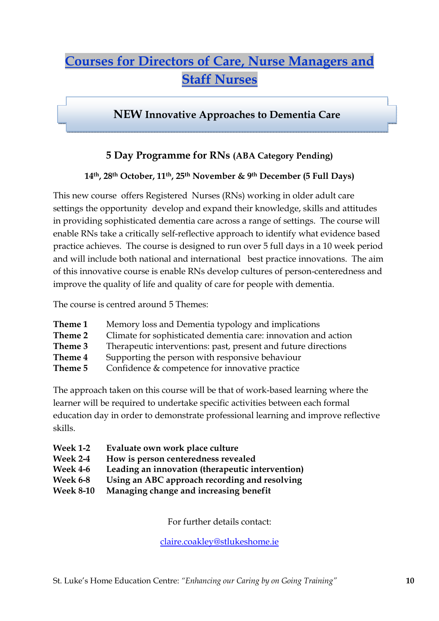# Courses for Directors of Care, Nurse Managers and **Staff Nurses**

#### NEW Innovative Approaches to Dementia Care

#### 5 Day Programme for RNs (ABA Category Pending)

#### 14th, 28th October, 11th, 25th November & 9th December (5 Full Days)

This new course offers Registered Nurses (RNs) working in older adult care settings the opportunity develop and expand their knowledge, skills and attitudes in providing sophisticated dementia care across a range of settings. The course will enable RNs take a critically self-reflective approach to identify what evidence based practice achieves. The course is designed to run over 5 full days in a 10 week period and will include both national and international best practice innovations. The aim of this innovative course is enable RNs develop cultures of person-centeredness and improve the quality of life and quality of care for people with dementia.

The course is centred around 5 Themes:

- Theme 1 Memory loss and Dementia typology and implications
- Theme 2 Climate for sophisticated dementia care: innovation and action
- Theme 3 Therapeutic interventions: past, present and future directions
- Theme 4 Supporting the person with responsive behaviour
- Theme 5 Confidence & competence for innovative practice

The approach taken on this course will be that of work-based learning where the learner will be required to undertake specific activities between each formal education day in order to demonstrate professional learning and improve reflective skills.

- Week 1-2 Evaluate own work place culture
- Week 2-4 How is person centeredness revealed
- Week 4-6 Leading an innovation (therapeutic intervention)
- Week 6-8 Using an ABC approach recording and resolving
- Week 8-10 Managing change and increasing benefit

For further details contact:

claire.coakley@stlukeshome.ie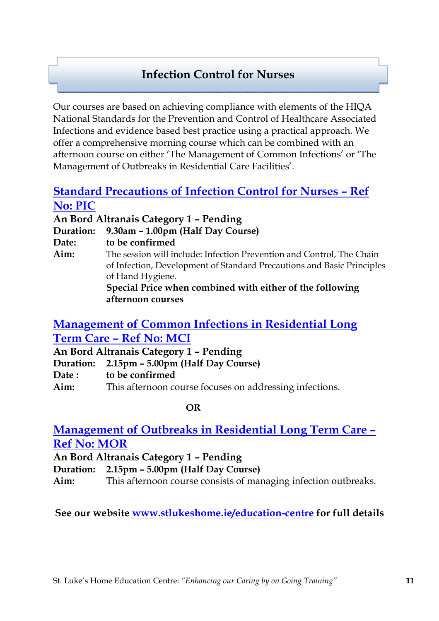## Infection Control for Nurses

Our courses are based on achieving compliance with elements of the HIQA National Standards for the Prevention and Control of Healthcare Associated Infections and evidence based best practice using a practical approach. We offer a comprehensive morning course which can be combined with an afternoon course on either 'The Management of Common Infections' or 'The Management of Outbreaks in Residential Care Facilities'.

#### Standard Precautions of Infection Control for Nurses – Ref No: PIC

An Bord Altranais Category 1 – Pending Duration: 9.30am – 1.00pm (Half Day Course) Date: to be confirmed Aim: The session will include: Infection Prevention and Control. The Chain of Infection, Development of Standard Precautions and Basic Principles of Hand Hygiene. Special Price when combined with either of the following afternoon courses

#### Management of Common Infections in Residential Long Term Care – Ref No: MCI

An Bord Altranais Category 1 – Pending

Duration: 2.15pm – 5.00pm (Half Day Course)

Date: to be confirmed

Aim: This afternoon course focuses on addressing infections.

#### OR

#### Management of Outbreaks in Residential Long Term Care – Ref No: MOR

An Bord Altranais Category 1 – Pending

Duration: 2.15pm – 5.00pm (Half Day Course)

Aim: This afternoon course consists of managing infection outbreaks.

See our website www.stlukeshome.ie/education-centre for full details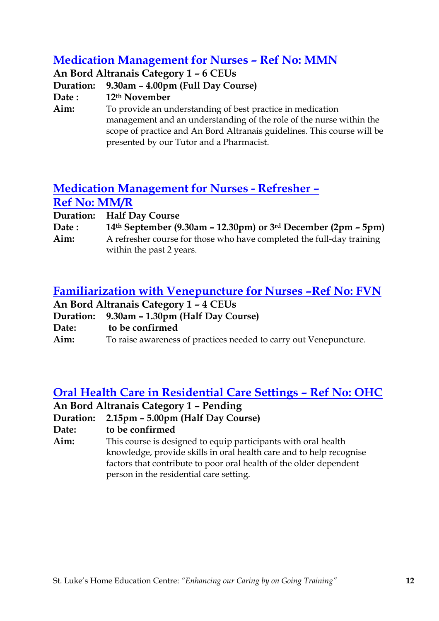#### Medication Management for Nurses – Ref No: MMN

An Bord Altranais Category 1 – 6 CEUs

Duration: 9.30am – 4.00pm (Full Day Course)

Date: 12th November

Aim: To provide an understanding of best practice in medication management and an understanding of the role of the nurse within the scope of practice and An Bord Altranais guidelines. This course will be presented by our Tutor and a Pharmacist.

#### Medication Management for Nurses - Refresher – Ref No: MM/R

Duration: Half Day Course

| Date: | 14th September (9.30am – 12.30pm) or $3rd$ December (2pm – 5pm)       |
|-------|-----------------------------------------------------------------------|
| Aim:  | A refresher course for those who have completed the full-day training |
|       | within the past 2 years.                                              |

#### Familiarization with Venepuncture for Nurses –Ref No: FVN

| An Bord Altranais Category 1 - 4 CEUs |                                             |
|---------------------------------------|---------------------------------------------|
|                                       | Duration: 9.30am – 1.30pm (Half Day Course) |
| Date:                                 | to be confirmed                             |

Aim: To raise awareness of practices needed to carry out Venepuncture.

#### Oral Health Care in Residential Care Settings – Ref No: OHC

#### An Bord Altranais Category 1 – Pending

Duration: 2.15pm – 5.00pm (Half Day Course)

Date: to be confirmed

Aim: This course is designed to equip participants with oral health knowledge, provide skills in oral health care and to help recognise factors that contribute to poor oral health of the older dependent person in the residential care setting.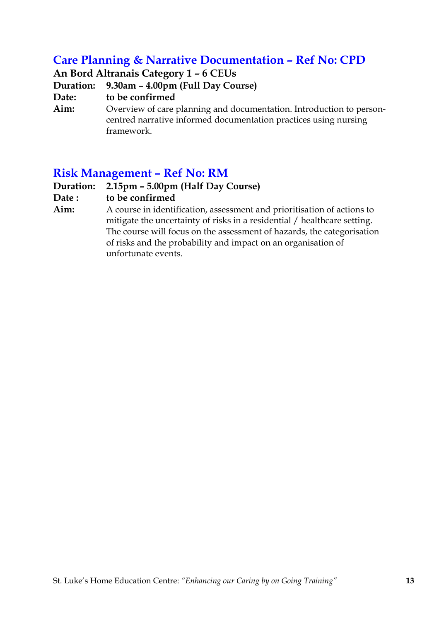#### Care Planning & Narrative Documentation – Ref No: CPD

An Bord Altranais Category 1 – 6 CEUs

Duration: 9.30am – 4.00pm (Full Day Course)

Date: to be confirmed

Aim: Overview of care planning and documentation. Introduction to personcentred narrative informed documentation practices using nursing framework.

#### Risk Management – Ref No: RM

Duration: 2.15pm – 5.00pm (Half Day Course)

Date: to be confirmed

Aim: A course in identification, assessment and prioritisation of actions to mitigate the uncertainty of risks in a residential / healthcare setting. The course will focus on the assessment of hazards, the categorisation of risks and the probability and impact on an organisation of unfortunate events.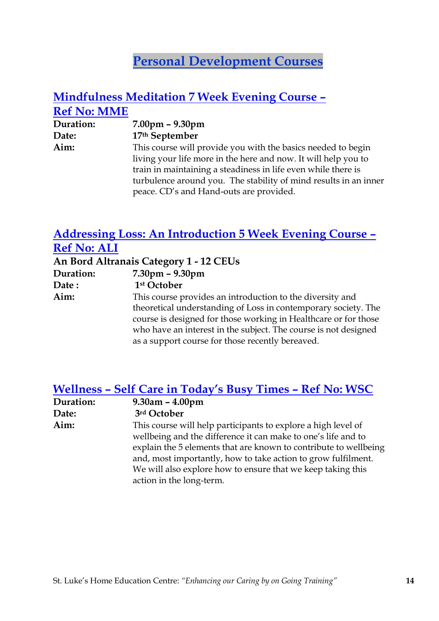# Personal Development Courses

#### Mindfulness Meditation 7 Week Evening Course – Ref No: MME

| Duration: | $7.00 \text{pm} - 9.30 \text{pm}$                                |
|-----------|------------------------------------------------------------------|
| Date:     | 17th September                                                   |
| Aim:      | This course will provide you with the basics needed to begin     |
|           | living your life more in the here and now. It will help you to   |
|           | train in maintaining a steadiness in life even while there is    |
|           | turbulence around you. The stability of mind results in an inner |
|           | peace. CD's and Hand-outs are provided.                          |

#### Addressing Loss: An Introduction 5 Week Evening Course – Ref No: ALI

|           | An Bord Altranais Category 1 - 12 CEUs                          |
|-----------|-----------------------------------------------------------------|
| Duration: | $7.30pm - 9.30pm$                                               |
| Date:     | 1 <sup>st</sup> October                                         |
| Aim:      | This course provides an introduction to the diversity and       |
|           | theoretical understanding of Loss in contemporary society. The  |
|           | course is designed for those working in Healthcare or for those |
|           | who have an interest in the subject. The course is not designed |
|           | as a support course for those recently bereaved.                |

#### Wellness – Self Care in Today's Busy Times – Ref No: WSC

| Duration: | $9.30$ am – $4.00$ pm                                            |
|-----------|------------------------------------------------------------------|
| Date:     | 3rd October                                                      |
| Aim:      | This course will help participants to explore a high level of    |
|           | wellbeing and the difference it can make to one's life and to    |
|           | explain the 5 elements that are known to contribute to wellbeing |
|           | and, most importantly, how to take action to grow fulfilment.    |
|           | We will also explore how to ensure that we keep taking this      |
|           | action in the long-term.                                         |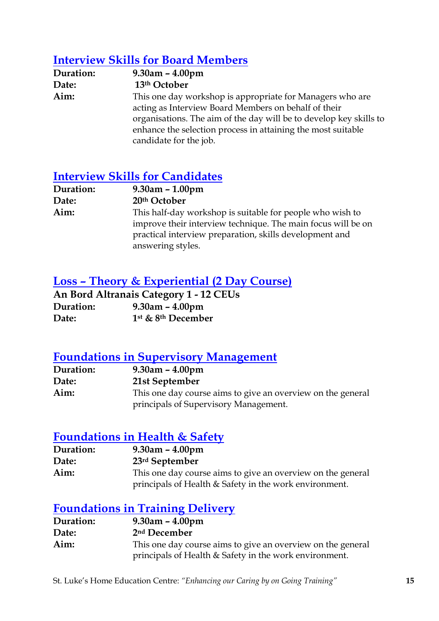#### Interview Skills for Board Members

| Duration: | $9.30$ am – $4.00$ pm                                              |
|-----------|--------------------------------------------------------------------|
| Date:     | 13th October                                                       |
| Aim:      | This one day workshop is appropriate for Managers who are          |
|           | acting as Interview Board Members on behalf of their               |
|           | organisations. The aim of the day will be to develop key skills to |
|           | enhance the selection process in attaining the most suitable       |
|           | candidate for the job.                                             |

#### Interview Skills for Candidates

| Duration: | $9.30$ am – $1.00$ pm                                        |
|-----------|--------------------------------------------------------------|
| Date:     | 20th October                                                 |
| Aim:      | This half-day workshop is suitable for people who wish to    |
|           | improve their interview technique. The main focus will be on |
|           | practical interview preparation, skills development and      |
|           | answering styles.                                            |

#### Loss – Theory & Experiential (2 Day Course)

|           | <b>An Bord Altranais Category 1 - 12 CEUs</b> |
|-----------|-----------------------------------------------|
| Duration: | $9.30$ am – $4.00$ pm                         |
| Date:     | $1st$ & $8th$ December                        |

#### Foundations in Supervisory Management

| Duration: | $9.30$ am – $4.00$ pm                                       |
|-----------|-------------------------------------------------------------|
| Date:     | 21st September                                              |
| Aim:      | This one day course aims to give an overview on the general |
|           | principals of Supervisory Management.                       |

#### Foundations in Health & Safety

| Duration: | $9.30$ am – $4.00$ pm                                       |
|-----------|-------------------------------------------------------------|
| Date:     | 23rd September                                              |
| Aim:      | This one day course aims to give an overview on the general |
|           | principals of Health & Safety in the work environment.      |

#### Foundations in Training Delivery

| Duration: | $9.30$ am – $4.00$ pm                                                                                                 |
|-----------|-----------------------------------------------------------------------------------------------------------------------|
| Date:     | 2 <sup>nd</sup> December                                                                                              |
| Aim:      | This one day course aims to give an overview on the general<br>principals of Health & Safety in the work environment. |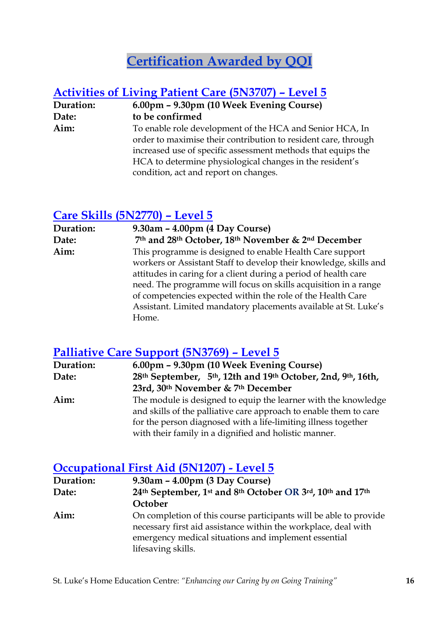# Certification Awarded by QQI

#### Activities of Living Patient Care (5N3707) – Level 5

Duration: 6.00pm – 9.30pm (10 Week Evening Course) Date: to be confirmed Aim: To enable role development of the HCA and Senior HCA, In order to maximise their contribution to resident care, through increased use of specific assessment methods that equips the HCA to determine physiological changes in the resident's condition, act and report on changes.

#### Care Skills (5N2770) – Level 5

| Duration: | 9.30am - 4.00pm (4 Day Course)                                    |
|-----------|-------------------------------------------------------------------|
| Date:     | 7th and 28th October, 18th November & 2nd December                |
| Aim:      | This programme is designed to enable Health Care support          |
|           | workers or Assistant Staff to develop their knowledge, skills and |
|           | attitudes in caring for a client during a period of health care   |
|           | need. The programme will focus on skills acquisition in a range   |
|           | of competencies expected within the role of the Health Care       |
|           | Assistant. Limited mandatory placements available at St. Luke's   |
|           | Home.                                                             |

#### Palliative Care Support (5N3769) – Level 5

| Duration: | 6.00pm - 9.30pm (10 Week Evening Course)                          |
|-----------|-------------------------------------------------------------------|
| Date:     | 28th September, 5th, 12th and 19th October, 2nd, 9th, 16th,       |
|           | 23rd, 30 <sup>th</sup> November & 7 <sup>th</sup> December        |
| Aim:      | The module is designed to equip the learner with the knowledge    |
|           | and skills of the palliative care approach to enable them to care |
|           | for the person diagnosed with a life-limiting illness together    |
|           | with their family in a dignified and holistic manner.             |

#### Occupational First Aid (5N1207) - Level 5

| Duration: | $9.30$ am – $4.00$ pm (3 Day Course)                                                                                                                                                                              |
|-----------|-------------------------------------------------------------------------------------------------------------------------------------------------------------------------------------------------------------------|
| Date:     | 24th September, 1st and 8th October OR 3rd, 10th and 17th                                                                                                                                                         |
|           | October                                                                                                                                                                                                           |
| Aim:      | On completion of this course participants will be able to provide<br>necessary first aid assistance within the workplace, deal with<br>emergency medical situations and implement essential<br>lifesaving skills. |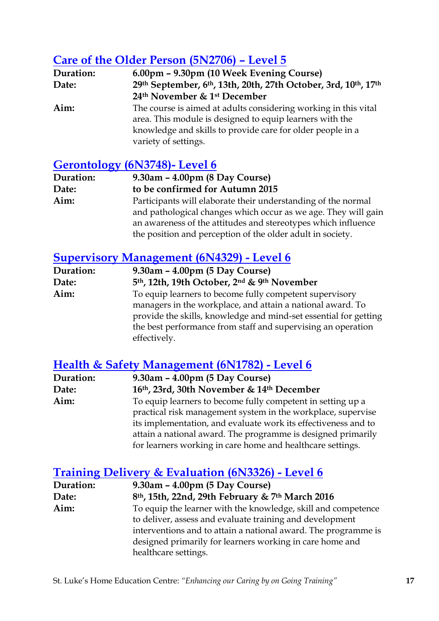## Care of the Older Person (5N2706) – Level 5

| Duration: | 6.00pm - 9.30pm (10 Week Evening Course)                                                                                                                                                                          |
|-----------|-------------------------------------------------------------------------------------------------------------------------------------------------------------------------------------------------------------------|
| Date:     | 29th September, 6th, 13th, 20th, 27th October, 3rd, 10th, 17th                                                                                                                                                    |
|           | 24th November & 1st December                                                                                                                                                                                      |
| Aim:      | The course is aimed at adults considering working in this vital<br>area. This module is designed to equip learners with the<br>knowledge and skills to provide care for older people in a<br>variety of settings. |

#### Gerontology (6N3748)- Level 6

| Duration: | $9.30$ am – $4.00$ pm (8 Day Course)                           |
|-----------|----------------------------------------------------------------|
| Date:     | to be confirmed for Autumn 2015                                |
| Aim:      | Participants will elaborate their understanding of the normal  |
|           | and pathological changes which occur as we age. They will gain |
|           | an awareness of the attitudes and stereotypes which influence  |
|           | the position and perception of the older adult in society.     |

#### Supervisory Management (6N4329) - Level 6

| Duration: | $9.30$ am – $4.00$ pm (5 Day Course)                                                                                                                                                                                                                                      |
|-----------|---------------------------------------------------------------------------------------------------------------------------------------------------------------------------------------------------------------------------------------------------------------------------|
| Date:     | 5th, 12th, 19th October, 2nd & 9th November                                                                                                                                                                                                                               |
| Aim:      | To equip learners to become fully competent supervisory<br>managers in the workplace, and attain a national award. To<br>provide the skills, knowledge and mind-set essential for getting<br>the best performance from staff and supervising an operation<br>effectively. |

#### Health & Safety Management (6N1782) - Level 6

| Duration: | $9.30$ am – $4.00$ pm (5 Day Course)                           |
|-----------|----------------------------------------------------------------|
| Date:     | 16th, 23rd, 30th November & 14th December                      |
| Aim:      | To equip learners to become fully competent in setting up a    |
|           | practical risk management system in the workplace, supervise   |
|           | its implementation, and evaluate work its effectiveness and to |
|           | attain a national award. The programme is designed primarily   |
|           | for learners working in care home and healthcare settings.     |

#### Training Delivery & Evaluation (6N3326) - Level 6

| Duration: | $9.30$ am – $4.00$ pm (5 Day Course)                           |
|-----------|----------------------------------------------------------------|
| Date:     | 8th, 15th, 22nd, 29th February & 7th March 2016                |
| Aim:      | To equip the learner with the knowledge, skill and competence  |
|           | to deliver, assess and evaluate training and development       |
|           | interventions and to attain a national award. The programme is |
|           | designed primarily for learners working in care home and       |
|           | healthcare settings.                                           |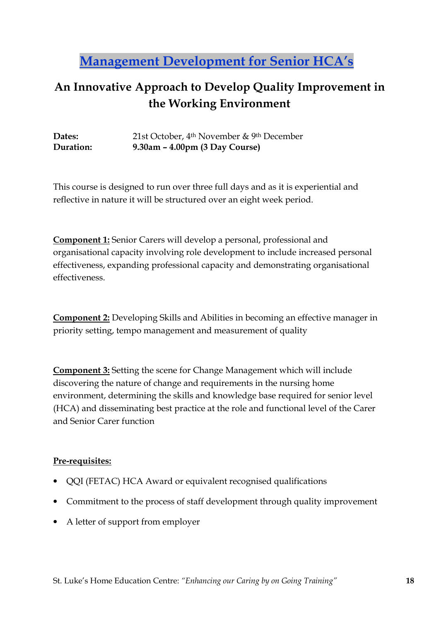# Management Development for Senior HCA's

## An Innovative Approach to Develop Quality Improvement in the Working Environment

Dates: 21st October, 4th November & 9th December Duration: 9.30am – 4.00pm (3 Day Course)

This course is designed to run over three full days and as it is experiential and reflective in nature it will be structured over an eight week period.

Component 1: Senior Carers will develop a personal, professional and organisational capacity involving role development to include increased personal effectiveness, expanding professional capacity and demonstrating organisational effectiveness.

Component 2: Developing Skills and Abilities in becoming an effective manager in priority setting, tempo management and measurement of quality

Component 3: Setting the scene for Change Management which will include discovering the nature of change and requirements in the nursing home environment, determining the skills and knowledge base required for senior level (HCA) and disseminating best practice at the role and functional level of the Carer and Senior Carer function

#### Pre-requisites:

- QQI (FETAC) HCA Award or equivalent recognised qualifications
- Commitment to the process of staff development through quality improvement
- A letter of support from employer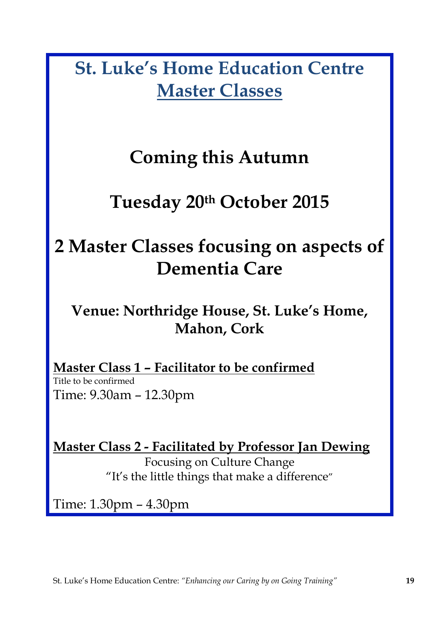St. Luke's Home Education Centre Master Classes

# Coming this Autumn

# Tuesday 20th October 2015

# 2 Master Classes focusing on aspects of Dementia Care

# Venue: Northridge House, St. Luke's Home, Mahon, Cork

Master Class 1 – Facilitator to be confirmed Title to be confirmed Time: 9.30am – 12.30pm

Master Class 2 - Facilitated by Professor Jan Dewing Focusing on Culture Change "It's the little things that make a difference"

Time: 1.30pm – 4.30pm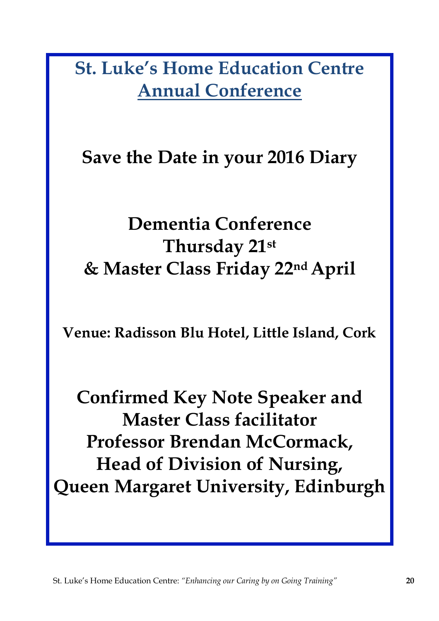St. Luke's Home Education Centre Annual Conference

Save the Date in your 2016 Diary

# Dementia Conference Thursday 21st & Master Class Friday 22nd April

Venue: Radisson Blu Hotel, Little Island, Cork

Confirmed Key Note Speaker and Master Class facilitator Professor Brendan McCormack, Head of Division of Nursing, Queen Margaret University, Edinburgh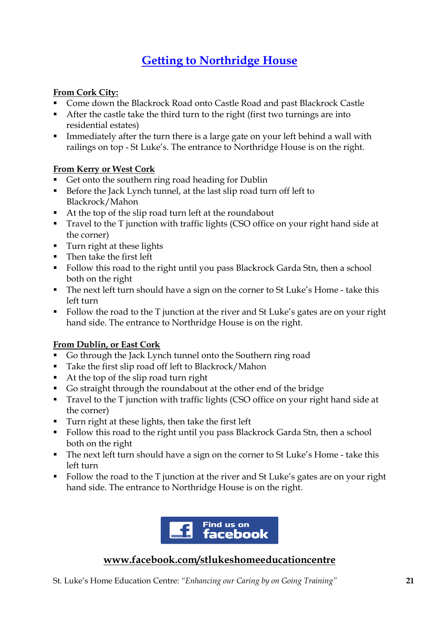## Getting to Northridge House

#### From Cork City:

- Come down the Blackrock Road onto Castle Road and past Blackrock Castle
- After the castle take the third turn to the right (first two turnings are into residential estates)
- **Immediately after the turn there is a large gate on your left behind a wall with** railings on top - St Luke's. The entrance to Northridge House is on the right.

#### From Kerry or West Cork

- Get onto the southern ring road heading for Dublin
- Before the Jack Lynch tunnel, at the last slip road turn off left to Blackrock/Mahon
- At the top of the slip road turn left at the roundabout
- Travel to the T junction with traffic lights (CSO office on your right hand side at the corner)
- **Turn right at these lights**
- Then take the first left
- Follow this road to the right until you pass Blackrock Garda Stn, then a school both on the right
- The next left turn should have a sign on the corner to St Luke's Home take this left turn
- Follow the road to the T junction at the river and St Luke's gates are on your right hand side. The entrance to Northridge House is on the right.

#### From Dublin, or East Cork

- Go through the Jack Lynch tunnel onto the Southern ring road
- Take the first slip road off left to Blackrock/Mahon
- At the top of the slip road turn right
- Go straight through the roundabout at the other end of the bridge
- Travel to the T junction with traffic lights (CSO office on your right hand side at the corner)
- Turn right at these lights, then take the first left
- Follow this road to the right until you pass Blackrock Garda Stn, then a school both on the right
- The next left turn should have a sign on the corner to St Luke's Home take this left turn
- Follow the road to the T junction at the river and St Luke's gates are on your right hand side. The entrance to Northridge House is on the right.



#### www.facebook.com/stlukeshomeeducationcentre

St. Luke's Home Education Centre: "Enhancing our Caring by on Going Training" 21